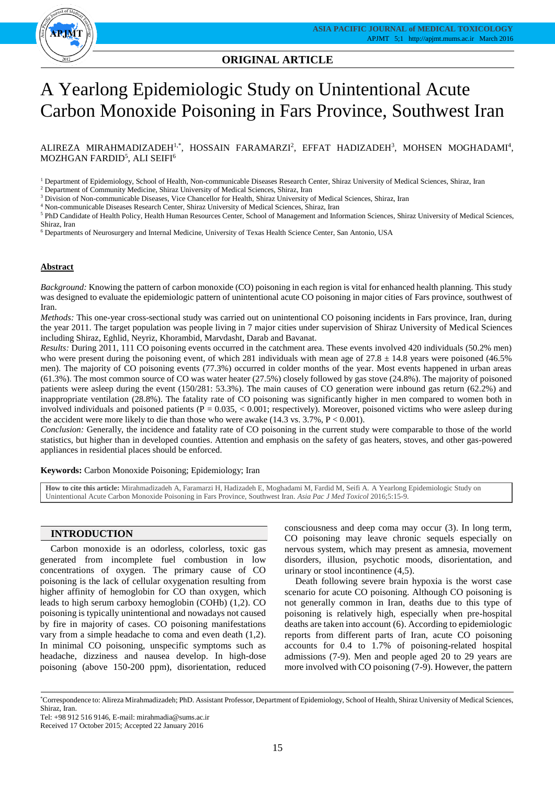

# **ORIGINAL ARTICLE**

# A Yearlong Epidemiologic Study on Unintentional Acute Carbon Monoxide Poisoning in Fars Province, Southwest Iran

ALIREZA MIRAHMADIZADEH<sup>1,\*</sup>, HOSSAIN FARAMARZI<sup>2</sup>, EFFAT HADIZADEH<sup>3</sup>, MOHSEN MOGHADAMI<sup>4</sup>, MOZHGAN FARDID $^5$ , ALI SEIFI $^6$ 

<sup>1</sup> Department of Epidemiology, School of Health, Non-communicable Diseases Research Center, Shiraz University of Medical Sciences, Shiraz, Iran

<sup>2</sup> Department of Community Medicine, Shiraz University of Medical Sciences, Shiraz, Iran

<sup>3</sup> Division of Non-communicable Diseases, Vice Chancellor for Health, Shiraz University of Medical Sciences, Shiraz, Iran

<sup>4</sup> Non-communicable Diseases Research Center, Shiraz University of Medical Sciences, Shiraz, Iran

<sup>5</sup> PhD Candidate of Health Policy, Health Human Resources Center, School of Management and Information Sciences, Shiraz University of Medical Sciences, Shiraz, Iran

<sup>6</sup> Departments of Neurosurgery and Internal Medicine, University of Texas Health Science Center, San Antonio, USA

## **Abstract**

*Background:* Knowing the pattern of carbon monoxide (CO) poisoning in each region is vital for enhanced health planning. This study was designed to evaluate the epidemiologic pattern of unintentional acute CO poisoning in major cities of Fars province, southwest of Iran.

*Methods:* This one-year cross-sectional study was carried out on unintentional CO poisoning incidents in Fars province, Iran, during the year 2011. The target population was people living in 7 major cities under supervision of Shiraz University of Medical Sciences including Shiraz, Eghlid, Neyriz, Khorambid, Marvdasht, Darab and Bavanat.

*Results:* During 2011, 111 CO poisoning events occurred in the catchment area. These events involved 420 individuals (50.2% men) who were present during the poisoning event, of which 281 individuals with mean age of  $27.8 \pm 14.8$  years were poisoned (46.5%) men). The majority of CO poisoning events (77.3%) occurred in colder months of the year. Most events happened in urban areas (61.3%). The most common source of CO was water heater (27.5%) closely followed by gas stove (24.8%). The majority of poisoned patients were asleep during the event (150/281: 53.3%). The main causes of CO generation were inbound gas return (62.2%) and inappropriate ventilation (28.8%). The fatality rate of CO poisoning was significantly higher in men compared to women both in involved individuals and poisoned patients  $(P = 0.035, < 0.001$ ; respectively). Moreover, poisoned victims who were asleep during the accident were more likely to die than those who were awake (14.3 vs. 3.7%, P < 0.001).

*Conclusion:* Generally, the incidence and fatality rate of CO poisoning in the current study were comparable to those of the world statistics, but higher than in developed counties. Attention and emphasis on the safety of gas heaters, stoves, and other gas-powered appliances in residential places should be enforced.

**Keywords:** Carbon Monoxide Poisoning; Epidemiology; Iran

**How to cite this article:** Mirahmadizadeh A, Faramarzi H, Hadizadeh E, Moghadami M, Fardid M, Seifi A. A Yearlong Epidemiologic Study on Unintentional Acute Carbon Monoxide Poisoning in Fars Province, Southwest Iran. *Asia Pac J Med Toxicol* 2016;5:15-9.

## **INTRODUCTION**

Carbon monoxide is an odorless, colorless, toxic gas generated from incomplete fuel combustion in low concentrations of oxygen. The primary cause of CO poisoning is the lack of cellular oxygenation resulting from higher affinity of hemoglobin for CO than oxygen, which leads to high serum carboxy hemoglobin (COHb) (1,2). CO poisoning is typically unintentional and nowadays not caused by fire in majority of cases. CO poisoning manifestations vary from a simple headache to coma and even death (1,2). In minimal CO poisoning, unspecific symptoms such as headache, dizziness and nausea develop. In high-dose poisoning (above 150-200 ppm), disorientation, reduced

consciousness and deep coma may occur (3). In long term, CO poisoning may leave chronic sequels especially on nervous system, which may present as amnesia, movement disorders, illusion, psychotic moods, disorientation, and urinary or stool incontinence (4,5).

Death following severe brain hypoxia is the worst case scenario for acute CO poisoning. Although CO poisoning is not generally common in Iran, deaths due to this type of poisoning is relatively high, especially when pre-hospital deaths are taken into account (6). According to epidemiologic reports from different parts of Iran, acute CO poisoning accounts for 0.4 to 1.7% of poisoning-related hospital admissions (7-9). Men and people aged 20 to 29 years are more involved with CO poisoning (7-9). However, the pattern

Tel: +98 912 516 9146, E-mail: mirahmadia@sums.ac.ir

<sup>\*</sup>Correspondence to: Alireza Mirahmadizadeh; PhD. Assistant Professor, Department of Epidemiology, School of Health, Shiraz University of Medical Sciences, Shiraz, Iran.

Received 17 October 2015; Accepted 22 January 2016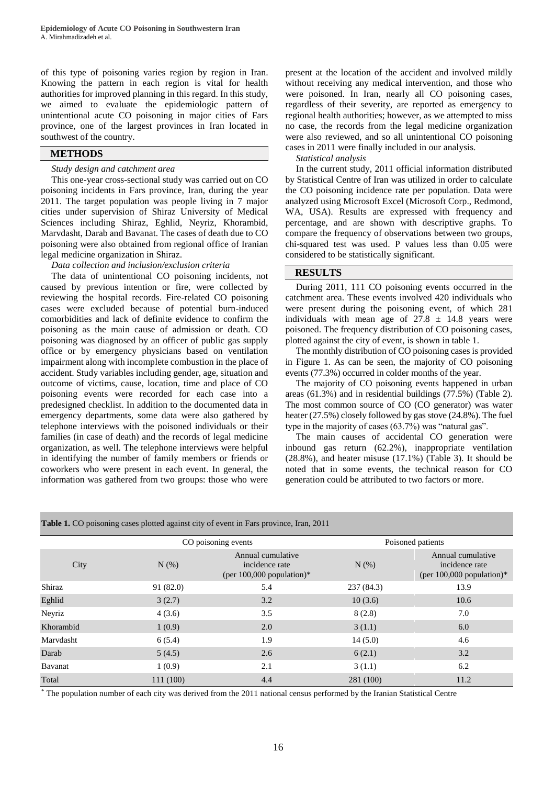of this type of poisoning varies region by region in Iran. Knowing the pattern in each region is vital for health authorities for improved planning in this regard. In this study, we aimed to evaluate the epidemiologic pattern of unintentional acute CO poisoning in major cities of Fars province, one of the largest provinces in Iran located in southwest of the country.

# **METHODS**

## *Study design and catchment area*

This one-year cross-sectional study was carried out on CO poisoning incidents in Fars province, Iran, during the year 2011. The target population was people living in 7 major cities under supervision of Shiraz University of Medical Sciences including Shiraz, Eghlid, Neyriz, Khorambid, Marvdasht, Darab and Bavanat. The cases of death due to CO poisoning were also obtained from regional office of Iranian legal medicine organization in Shiraz.

# *Data collection and inclusion/exclusion criteria*

The data of unintentional CO poisoning incidents, not caused by previous intention or fire, were collected by reviewing the hospital records. Fire-related CO poisoning cases were excluded because of potential burn-induced comorbidities and lack of definite evidence to confirm the poisoning as the main cause of admission or death. CO poisoning was diagnosed by an officer of public gas supply office or by emergency physicians based on ventilation impairment along with incomplete combustion in the place of accident. Study variables including gender, age, situation and outcome of victims, cause, location, time and place of CO poisoning events were recorded for each case into a predesigned checklist. In addition to the documented data in emergency departments, some data were also gathered by telephone interviews with the poisoned individuals or their families (in case of death) and the records of legal medicine organization, as well. The telephone interviews were helpful in identifying the number of family members or friends or coworkers who were present in each event. In general, the information was gathered from two groups: those who were

**Table 1.** CO poisoning cases plotted against city of event in Fars province, Iran, 2011

present at the location of the accident and involved mildly without receiving any medical intervention, and those who were poisoned. In Iran, nearly all CO poisoning cases, regardless of their severity, are reported as emergency to regional health authorities; however, as we attempted to miss no case, the records from the legal medicine organization were also reviewed, and so all unintentional CO poisoning cases in 2011 were finally included in our analysis.

*Statistical analysis*

In the current study, 2011 official information distributed by Statistical Centre of Iran was utilized in order to calculate the CO poisoning incidence rate per population. Data were analyzed using Microsoft Excel (Microsoft Corp., Redmond, WA, USA). Results are expressed with frequency and percentage, and are shown with descriptive graphs. To compare the frequency of observations between two groups, chi-squared test was used. P values less than 0.05 were considered to be statistically significant.

# **RESULTS**

During 2011, 111 CO poisoning events occurred in the catchment area. These events involved 420 individuals who were present during the poisoning event, of which 281 individuals with mean age of  $27.8 \pm 14.8$  years were poisoned. The frequency distribution of CO poisoning cases, plotted against the city of event, is shown in table 1.

The monthly distribution of CO poisoning cases is provided in Figure 1. As can be seen, the majority of CO poisoning events (77.3%) occurred in colder months of the year.

The majority of CO poisoning events happened in urban areas (61.3%) and in residential buildings (77.5%) (Table 2). The most common source of CO (CO generator) was water heater (27.5%) closely followed by gas stove (24.8%). The fuel type in the majority of cases (63.7%) was "natural gas".

The main causes of accidental CO generation were inbound gas return (62.2%), inappropriate ventilation  $(28.8\%)$ , and heater misuse  $(17.1\%)$  (Table 3). It should be noted that in some events, the technical reason for CO generation could be attributed to two factors or more.

| which is the possessing capes protted against the or event in I also province, fram, so if |           |                                                                    |                   |                                                                    |  |  |  |  |  |  |
|--------------------------------------------------------------------------------------------|-----------|--------------------------------------------------------------------|-------------------|--------------------------------------------------------------------|--|--|--|--|--|--|
|                                                                                            |           | CO poisoning events                                                | Poisoned patients |                                                                    |  |  |  |  |  |  |
| City                                                                                       | $N(\%)$   | Annual cumulative<br>incidence rate<br>(per $100,000$ population)* | $N$ $(\%)$        | Annual cumulative<br>incidence rate<br>(per $100,000$ population)* |  |  |  |  |  |  |
| Shiraz                                                                                     | 91 (82.0) | 5.4                                                                | 237 (84.3)        | 13.9                                                               |  |  |  |  |  |  |
| Eghlid                                                                                     | 3(2.7)    | 3.2                                                                | 10(3.6)           | 10.6                                                               |  |  |  |  |  |  |
| Neyriz                                                                                     | 4(3.6)    | 3.5                                                                | 8(2.8)            | 7.0                                                                |  |  |  |  |  |  |
| Khorambid                                                                                  | 1(0.9)    | 2.0                                                                | 3(1.1)            | 6.0                                                                |  |  |  |  |  |  |
| Marydasht                                                                                  | 6(5.4)    | 1.9                                                                | 14(5.0)           | 4.6                                                                |  |  |  |  |  |  |
| Darab                                                                                      | 5(4.5)    | 2.6                                                                | 6(2.1)            | 3.2                                                                |  |  |  |  |  |  |
| Bavanat                                                                                    | 1(0.9)    | 2.1                                                                | 3(1.1)            | 6.2                                                                |  |  |  |  |  |  |
| Total                                                                                      | 111 (100) | 4.4                                                                | 281 (100)         | 11.2                                                               |  |  |  |  |  |  |

\* The population number of each city was derived from the 2011 national census performed by the Iranian Statistical Centre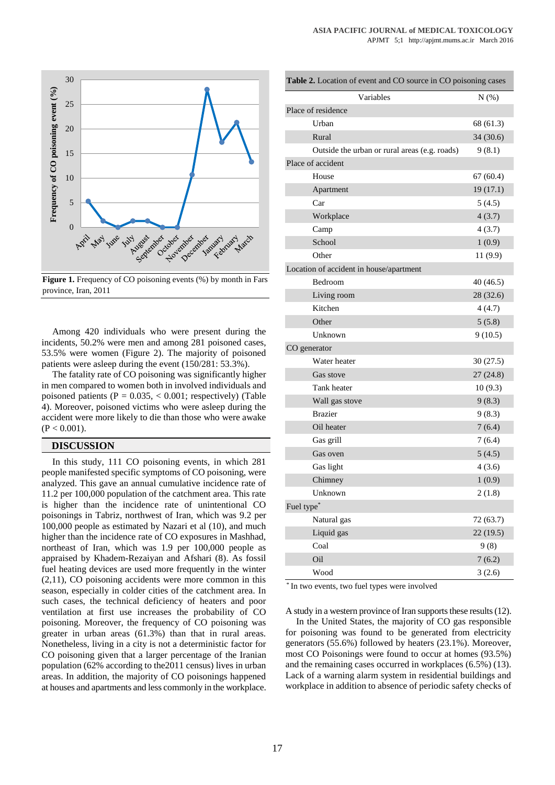

**Figure 1.** Frequency of CO poisoning events (%) by month in Fars province, Iran, 2011

Among 420 individuals who were present during the incidents, 50.2% were men and among 281 poisoned cases, 53.5% were women (Figure 2). The majority of poisoned patients were asleep during the event (150/281: 53.3%).

The fatality rate of CO poisoning was significantly higher in men compared to women both in involved individuals and poisoned patients ( $P = 0.035$ ,  $< 0.001$ ; respectively) (Table 4). Moreover, poisoned victims who were asleep during the accident were more likely to die than those who were awake  $(P < 0.001)$ .

# **DISCUSSION**

In this study, 111 CO poisoning events, in which 281 people manifested specific symptoms of CO poisoning, were analyzed. This gave an annual cumulative incidence rate of 11.2 per 100,000 population of the catchment area. This rate is higher than the incidence rate of unintentional CO poisonings in Tabriz, northwest of Iran, which was 9.2 per 100,000 people as estimated by Nazari et al (10), and much higher than the incidence rate of CO exposures in Mashhad, northeast of Iran, which was 1.9 per 100,000 people as appraised by Khadem-Rezaiyan and Afshari (8). As fossil fuel heating devices are used more frequently in the winter (2,11), CO poisoning accidents were more common in this season, especially in colder cities of the catchment area. In such cases, the technical deficiency of heaters and poor ventilation at first use increases the probability of CO poisoning. Moreover, the frequency of CO poisoning was greater in urban areas (61.3%) than that in rural areas. Nonetheless, living in a city is not a deterministic factor for CO poisoning given that a larger percentage of the Iranian population (62% according to the2011 census) lives in urban areas. In addition, the majority of CO poisonings happened at houses and apartments and less commonly in the workplace.

| Table 2. Location of event and CO source in CO poisoning cases |           |  |  |  |
|----------------------------------------------------------------|-----------|--|--|--|
| Variables                                                      | $N(\%)$   |  |  |  |
| Place of residence                                             |           |  |  |  |
| Urban                                                          | 68 (61.3) |  |  |  |
| Rural                                                          | 34 (30.6) |  |  |  |
| Outside the urban or rural areas (e.g. roads)                  | 9(8.1)    |  |  |  |
| Place of accident                                              |           |  |  |  |
| House                                                          | 67(60.4)  |  |  |  |
| Apartment                                                      | 19(17.1)  |  |  |  |
| Car                                                            | 5(4.5)    |  |  |  |
| Workplace                                                      | 4(3.7)    |  |  |  |
| Camp                                                           | 4(3.7)    |  |  |  |
| School                                                         | 1(0.9)    |  |  |  |
| Other                                                          | 11 (9.9)  |  |  |  |
| Location of accident in house/apartment                        |           |  |  |  |
| Bedroom                                                        | 40 (46.5) |  |  |  |
| Living room                                                    | 28 (32.6) |  |  |  |
| Kitchen                                                        | 4(4.7)    |  |  |  |
| Other                                                          | 5(5.8)    |  |  |  |
| Unknown                                                        | 9(10.5)   |  |  |  |
| CO generator                                                   |           |  |  |  |
| Water heater                                                   | 30(27.5)  |  |  |  |
| Gas stove                                                      | 27(24.8)  |  |  |  |
| Tank heater                                                    | 10(9.3)   |  |  |  |
| Wall gas stove                                                 | 9(8.3)    |  |  |  |
| <b>Brazier</b>                                                 | 9(8.3)    |  |  |  |
| Oil heater                                                     | 7(6.4)    |  |  |  |
| Gas grill                                                      | 7(6.4)    |  |  |  |
| Gas oven                                                       | 5(4.5)    |  |  |  |
| Gas light                                                      | 4(3.6)    |  |  |  |
| Chimney                                                        | 1(0.9)    |  |  |  |
| Unknown                                                        | 2(1.8)    |  |  |  |
| Fuel type*                                                     |           |  |  |  |
| Natural gas                                                    | 72 (63.7) |  |  |  |
| Liquid gas                                                     | 22(19.5)  |  |  |  |
| Coal                                                           | 9(8)      |  |  |  |
| Oil                                                            | 7(6.2)    |  |  |  |
| Wood                                                           | 3(2.6)    |  |  |  |

\* In two events, two fuel types were involved

A study in a western province of Iran supports these results (12).

In the United States, the majority of CO gas responsible for poisoning was found to be generated from electricity generators (55.6%) followed by heaters (23.1%). Moreover, most CO Poisonings were found to occur at homes (93.5%) and the remaining cases occurred in workplaces (6.5%) (13). Lack of a warning alarm system in residential buildings and workplace in addition to absence of periodic safety checks of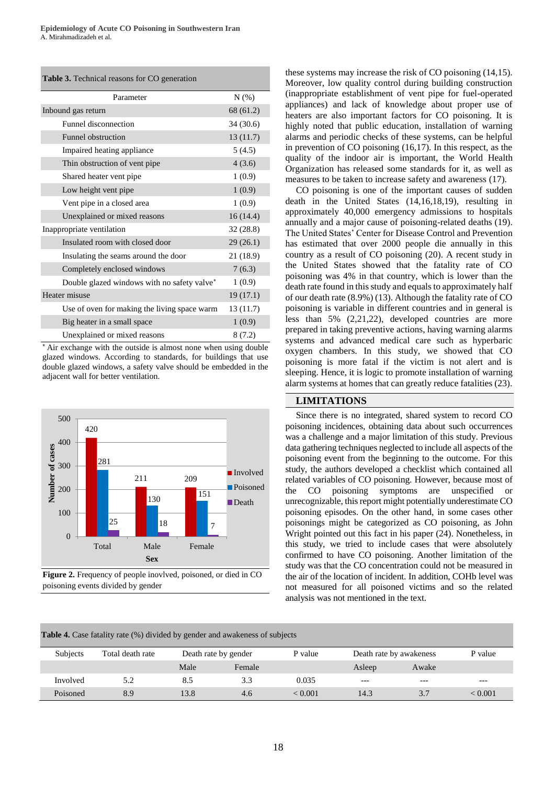#### **Table 3.** Technical reasons for CO generation

| Parameter                                    | N(% )     |
|----------------------------------------------|-----------|
| Inbound gas return                           | 68 (61.2) |
| Funnel disconnection                         | 34 (30.6) |
| <b>Funnel obstruction</b>                    | 13(11.7)  |
| Impaired heating appliance                   | 5(4.5)    |
| Thin obstruction of vent pipe                | 4(3.6)    |
| Shared heater vent pipe                      | 1(0.9)    |
| Low height vent pipe                         | 1(0.9)    |
| Vent pipe in a closed area                   | 1(0.9)    |
| Unexplained or mixed reasons                 | 16(14.4)  |
| Inappropriate ventilation                    | 32(28.8)  |
| Insulated room with closed door              | 29(26.1)  |
| Insulating the seams around the door         | 21 (18.9) |
| Completely enclosed windows                  | 7(6.3)    |
| Double glazed windows with no safety valve*  | 1(0.9)    |
| Heater misuse                                | 19(17.1)  |
| Use of oven for making the living space warm | 13 (11.7) |
| Big heater in a small space                  | 1(0.9)    |
| Unexplained or mixed reasons                 | 8(7.2)    |

 Air exchange with the outside is almost none when using double glazed windows. According to standards, for buildings that use double glazed windows, a safety valve should be embedded in the adjacent wall for better ventilation.



**Figure 2.** Frequency of people inovlved, poisoned, or died in CO poisoning events divided by gender

these systems may increase the risk of CO poisoning (14,15). Moreover, low quality control during building construction (inappropriate establishment of vent pipe for fuel-operated appliances) and lack of knowledge about proper use of heaters are also important factors for CO poisoning. It is highly noted that public education, installation of warning alarms and periodic checks of these systems, can be helpful in prevention of CO poisoning (16,17). In this respect, as the quality of the indoor air is important, the World Health Organization has released some standards for it, as well as measures to be taken to increase safety and awareness (17).

CO poisoning is one of the important causes of sudden death in the United States (14,16,18,19), resulting in approximately 40,000 emergency admissions to hospitals annually and a major cause of poisoning-related deaths (19). The United States' Center for Disease Control and Prevention has estimated that over 2000 people die annually in this country as a result of CO poisoning (20). A recent study in the United States showed that the fatality rate of CO poisoning was 4% in that country, which is lower than the death rate found in this study and equals to approximately half of our death rate (8.9%) (13). Although the fatality rate of CO poisoning is variable in different countries and in general is less than 5% (2,21,22), developed countries are more prepared in taking preventive actions, having warning alarms systems and advanced medical care such as hyperbaric oxygen chambers. In this study, we showed that CO poisoning is more fatal if the victim is not alert and is sleeping. Hence, it is logic to promote installation of warning alarm systems at homes that can greatly reduce fatalities (23).

#### **LIMITATIONS**

Since there is no integrated, shared system to record CO poisoning incidences, obtaining data about such occurrences was a challenge and a major limitation of this study. Previous data gathering techniques neglected to include all aspects of the poisoning event from the beginning to the outcome. For this study, the authors developed a checklist which contained all related variables of CO poisoning. However, because most of the CO poisoning symptoms are unspecified or unrecognizable, this report might potentially underestimate CO poisoning episodes. On the other hand, in some cases other poisonings might be categorized as CO poisoning, as John Wright pointed out this fact in his paper (24). Nonetheless, in this study, we tried to include cases that were absolutely confirmed to have CO poisoning. Another limitation of the study was that the CO concentration could not be measured in the air of the location of incident. In addition, COHb level was not measured for all poisoned victims and so the related analysis was not mentioned in the text.

| <b>Table 4.</b> Case fatality rate (%) divided by gender and awakeness of subjects |                  |                      |        |         |                         |       |         |  |  |  |
|------------------------------------------------------------------------------------|------------------|----------------------|--------|---------|-------------------------|-------|---------|--|--|--|
| Subjects                                                                           | Total death rate | Death rate by gender |        | P value | Death rate by awakeness |       | P value |  |  |  |
|                                                                                    |                  | Male                 | Female |         | Asleep                  | Awake |         |  |  |  |
| Involved                                                                           | 5.2              | 8.5                  | 3.3    | 0.035   | $---$                   | $---$ | $---$   |  |  |  |
| Poisoned                                                                           | 8.9              | 13.8                 | 4.6    | < 0.001 | 14.3                    | 3.7   | < 0.001 |  |  |  |